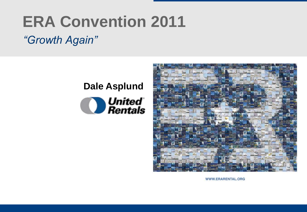# **ERA Convention 2011**

### *"Growth Again"*

## **Dale AsplundO** United<br>Rentals



WWW.ERARENTAL.ORG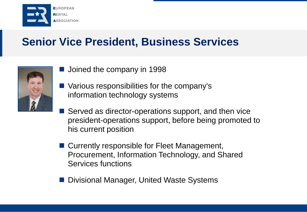

### **Senior Vice President, Business Services**



- **Joined the company in 1998**
- Various responsibilities for the company's information technology systems
- Served as director-operations support, and then vice president-operations support, before being promoted to his current position
- Currently responsible for Fleet Management, Procurement, Information Technology, and Shared Services functions
- Divisional Manager, United Waste Systems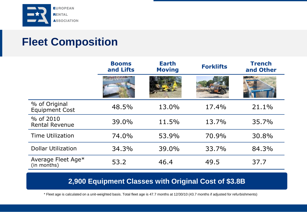

## **Fleet Composition**

|                                        | <b>Booms</b><br>and Lifts | <b>Earth</b><br><b>Moving</b> | <b>Forklifts</b> | <b>Trench</b><br>and Other |
|----------------------------------------|---------------------------|-------------------------------|------------------|----------------------------|
|                                        |                           |                               |                  |                            |
| % of Original<br><b>Equipment Cost</b> | 48.5%                     | 13.0%                         | 17.4%            | 21.1%                      |
| % of 2010<br><b>Rental Revenue</b>     | 39.0%                     | 11.5%                         | 13.7%            | 35.7%                      |
| <b>Time Utilization</b>                | 74.0%                     | 53.9%                         | 70.9%            | 30.8%                      |
| <b>Dollar Utilization</b>              | 34.3%                     | 39.0%                         | 33.7%            | 84.3%                      |
| Average Fleet Age*<br>(in months)      | 53.2                      | 46.4                          | 49.5             | 37.7                       |

#### **2,900 Equipment Classes with Original Cost of \$3.8B**

\* Fleet age is calculated on a unit-weighted basis. Total fleet age is 47.7 months at 12/30/10 (43.7 months if adjusted for refurbishments)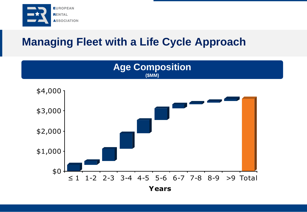

## **Managing Fleet with a Life Cycle Approach**



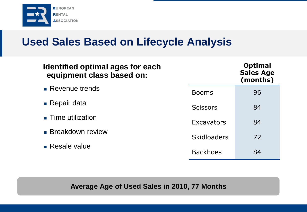

#### **Used Sales Based on Lifecycle Analysis**

| <b>Identified optimal ages for each</b><br>equipment class based on: |                    | <b>Optimal</b><br><b>Sales Age</b><br>(months) |
|----------------------------------------------------------------------|--------------------|------------------------------------------------|
| • Revenue trends                                                     | <b>Booms</b>       | 96                                             |
| $\blacksquare$ Repair data                                           | <b>Scissors</b>    | 84                                             |
| <b>Time utilization</b>                                              | Excavators         | 84                                             |
| <b>Breakdown review</b>                                              | <b>Skidloaders</b> | 72                                             |
| $\blacksquare$ Resale value                                          | <b>Backhoes</b>    | 84                                             |

**Average Age of Used Sales in 2010, 77 Months**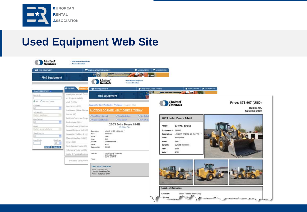

#### **Used Equipment Web Site**

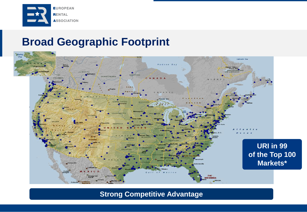

#### **Broad Geographic Footprint**



**Strong Competitive Advantage**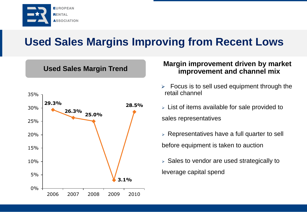

### **Used Sales Margins Improving from Recent Lows**

**Used Sales Margin Trend**



#### **Margin improvement driven by market improvement and channel mix**

- $\triangleright$  Focus is to sell used equipment through the retail channel
- $\triangleright$  List of items available for sale provided to sales representatives
- $\triangleright$  Representatives have a full quarter to sell before equipment is taken to auction
- $\triangleright$  Sales to vendor are used strategically to leverage capital spend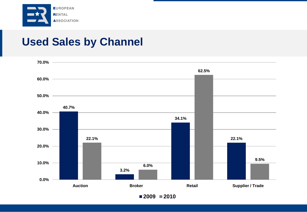

#### **Used Sales by Channel**



**2009 2010**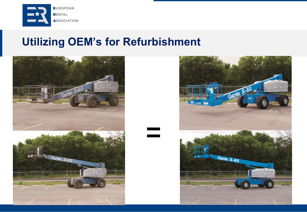

#### **Utilizing OEM's for Refurbishment**

**=**